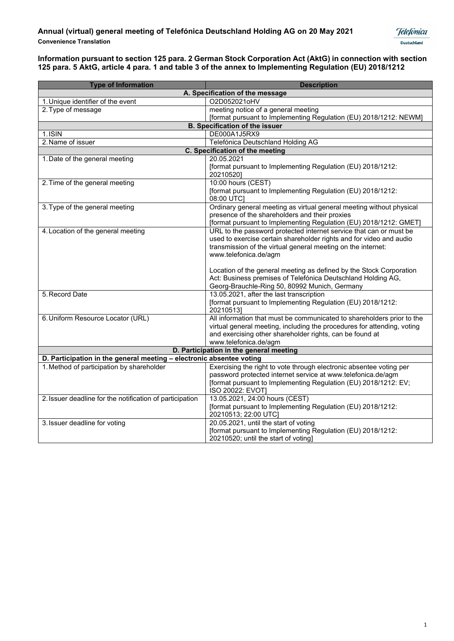

| <b>Type of Information</b>                                           | <b>Description</b>                                                        |  |
|----------------------------------------------------------------------|---------------------------------------------------------------------------|--|
| A. Specification of the message                                      |                                                                           |  |
| 1. Unique identifier of the event                                    | O2D052021oHV                                                              |  |
| 2. Type of message                                                   | meeting notice of a general meeting                                       |  |
|                                                                      | [format pursuant to Implementing Regulation (EU) 2018/1212: NEWM]         |  |
|                                                                      | <b>B. Specification of the issuer</b>                                     |  |
| $1.1$ SIN                                                            | DE000A1J5RX9                                                              |  |
| 2. Name of issuer                                                    | Telefónica Deutschland Holding AG                                         |  |
| C. Specification of the meeting                                      |                                                                           |  |
| 1. Date of the general meeting                                       | 20.05.2021                                                                |  |
|                                                                      | [format pursuant to Implementing Regulation (EU) 2018/1212:<br>202105201  |  |
| 2. Time of the general meeting                                       | 10:00 hours (CEST)                                                        |  |
|                                                                      | [format pursuant to Implementing Regulation (EU) 2018/1212:<br>08:00 UTC] |  |
| 3. Type of the general meeting                                       | Ordinary general meeting as virtual general meeting without physical      |  |
|                                                                      | presence of the shareholders and their proxies                            |  |
|                                                                      | [format pursuant to Implementing Regulation (EU) 2018/1212: GMET]         |  |
| 4. Location of the general meeting                                   | URL to the password protected internet service that can or must be        |  |
|                                                                      | used to exercise certain shareholder rights and for video and audio       |  |
|                                                                      | transmission of the virtual general meeting on the internet:              |  |
|                                                                      | www.telefonica.de/agm                                                     |  |
|                                                                      | Location of the general meeting as defined by the Stock Corporation       |  |
|                                                                      | Act: Business premises of Telefónica Deutschland Holding AG,              |  |
|                                                                      | Georg-Brauchle-Ring 50, 80992 Munich, Germany                             |  |
| 5. Record Date                                                       | 13.05.2021, after the last transcription                                  |  |
|                                                                      | [format pursuant to Implementing Regulation (EU) 2018/1212:               |  |
|                                                                      | 20210513]                                                                 |  |
| 6. Uniform Resource Locator (URL)                                    | All information that must be communicated to shareholders prior to the    |  |
|                                                                      | virtual general meeting, including the procedures for attending, voting   |  |
|                                                                      | and exercising other shareholder rights, can be found at                  |  |
|                                                                      | www.telefonica.de/agm                                                     |  |
| D. Participation in the general meeting                              |                                                                           |  |
| D. Participation in the general meeting - electronic absentee voting |                                                                           |  |
| 1. Method of participation by shareholder                            | Exercising the right to vote through electronic absentee voting per       |  |
|                                                                      | password protected internet service at www.telefonica.de/agm              |  |
|                                                                      | [format pursuant to Implementing Regulation (EU) 2018/1212: EV;           |  |
|                                                                      | ISO 20022: EVOT]                                                          |  |
| 2. Issuer deadline for the notification of participation             | 13.05.2021, 24:00 hours (CEST)                                            |  |
|                                                                      | [format pursuant to Implementing Regulation (EU) 2018/1212:               |  |
|                                                                      | 20210513; 22:00 UTC]<br>20.05.2021, until the start of voting             |  |
| 3. Issuer deadline for voting                                        | [format pursuant to Implementing Regulation (EU) 2018/1212:               |  |
|                                                                      | 20210520; until the start of voting]                                      |  |
|                                                                      |                                                                           |  |

**Telefonica** Deutschland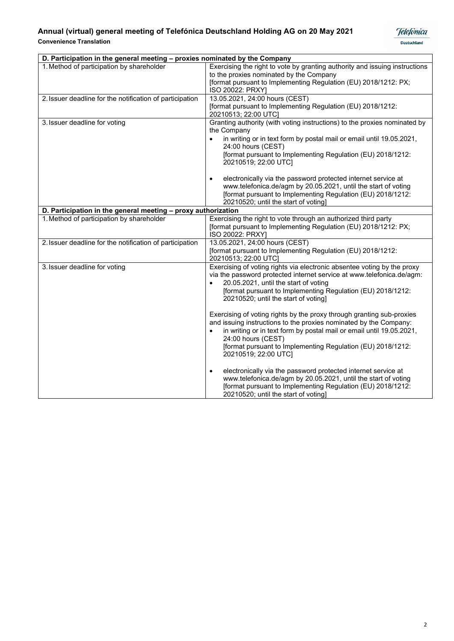

| D. Participation in the general meeting - proxies nominated by the Company |                                                                                                                                                                                                                                                                                                                                                                                                                                                                                                                        |  |
|----------------------------------------------------------------------------|------------------------------------------------------------------------------------------------------------------------------------------------------------------------------------------------------------------------------------------------------------------------------------------------------------------------------------------------------------------------------------------------------------------------------------------------------------------------------------------------------------------------|--|
| 1. Method of participation by shareholder                                  | Exercising the right to vote by granting authority and issuing instructions<br>to the proxies nominated by the Company<br>[format pursuant to Implementing Regulation (EU) 2018/1212: PX;<br>ISO 20022: PRXY]                                                                                                                                                                                                                                                                                                          |  |
| 2. Issuer deadline for the notification of participation                   | 13.05.2021, 24:00 hours (CEST)<br>[format pursuant to Implementing Regulation (EU) 2018/1212:<br>20210513; 22:00 UTC]                                                                                                                                                                                                                                                                                                                                                                                                  |  |
| 3. Issuer deadline for voting                                              | Granting authority (with voting instructions) to the proxies nominated by<br>the Company<br>in writing or in text form by postal mail or email until 19.05.2021,<br>$\bullet$<br>24:00 hours (CEST)<br>[format pursuant to Implementing Regulation (EU) 2018/1212:<br>20210519; 22:00 UTC]                                                                                                                                                                                                                             |  |
|                                                                            | electronically via the password protected internet service at<br>www.telefonica.de/agm by 20.05.2021, until the start of voting<br>[format pursuant to Implementing Regulation (EU) 2018/1212:<br>20210520; until the start of voting]                                                                                                                                                                                                                                                                                 |  |
| D. Participation in the general meeting - proxy authorization              |                                                                                                                                                                                                                                                                                                                                                                                                                                                                                                                        |  |
| 1. Method of participation by shareholder                                  | Exercising the right to vote through an authorized third party<br>[format pursuant to Implementing Regulation (EU) 2018/1212: PX;<br>ISO 20022: PRXY]                                                                                                                                                                                                                                                                                                                                                                  |  |
| 2. Issuer deadline for the notification of participation                   | 13.05.2021, 24:00 hours (CEST)<br>[format pursuant to Implementing Regulation (EU) 2018/1212:<br>20210513; 22:00 UTC]                                                                                                                                                                                                                                                                                                                                                                                                  |  |
| 3. Issuer deadline for voting                                              | Exercising of voting rights via electronic absentee voting by the proxy<br>via the password protected internet service at www.telefonica.de/agm:<br>20.05.2021, until the start of voting<br>[format pursuant to Implementing Regulation (EU) 2018/1212:<br>20210520; until the start of voting]<br>Exercising of voting rights by the proxy through granting sub-proxies<br>and issuing instructions to the proxies nominated by the Company:<br>in writing or in text form by postal mail or email until 19.05.2021, |  |
|                                                                            | 24:00 hours (CEST)<br>[format pursuant to Implementing Regulation (EU) 2018/1212:<br>20210519; 22:00 UTC]<br>electronically via the password protected internet service at<br>$\bullet$<br>www.telefonica.de/agm by 20.05.2021, until the start of voting<br>[format pursuant to Implementing Regulation (EU) 2018/1212:<br>20210520; until the start of voting]                                                                                                                                                       |  |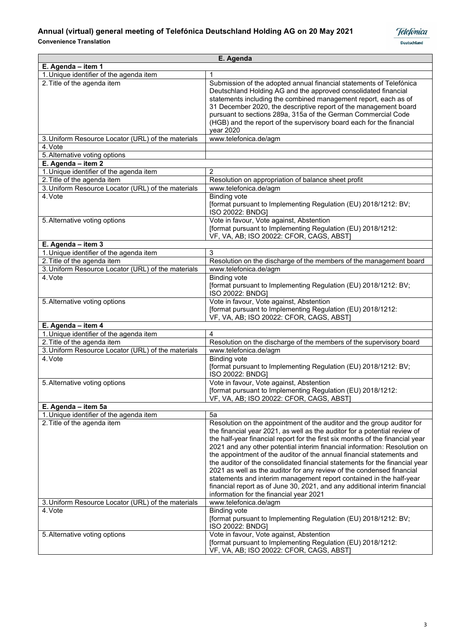

| E. Agenda                                          |                                                                                                                                                                                                                                                                                                                                                                                                                                                                                                                                                                                                                                                                                                                                                    |  |
|----------------------------------------------------|----------------------------------------------------------------------------------------------------------------------------------------------------------------------------------------------------------------------------------------------------------------------------------------------------------------------------------------------------------------------------------------------------------------------------------------------------------------------------------------------------------------------------------------------------------------------------------------------------------------------------------------------------------------------------------------------------------------------------------------------------|--|
| E. Agenda - item 1                                 |                                                                                                                                                                                                                                                                                                                                                                                                                                                                                                                                                                                                                                                                                                                                                    |  |
| 1. Unique identifier of the agenda item            |                                                                                                                                                                                                                                                                                                                                                                                                                                                                                                                                                                                                                                                                                                                                                    |  |
| 2. Title of the agenda item                        | Submission of the adopted annual financial statements of Telefónica<br>Deutschland Holding AG and the approved consolidated financial<br>statements including the combined management report, each as of<br>31 December 2020, the descriptive report of the management board<br>pursuant to sections 289a, 315a of the German Commercial Code<br>(HGB) and the report of the supervisory board each for the financial<br>year 2020                                                                                                                                                                                                                                                                                                                 |  |
| 3. Uniform Resource Locator (URL) of the materials | www.telefonica.de/agm                                                                                                                                                                                                                                                                                                                                                                                                                                                                                                                                                                                                                                                                                                                              |  |
| 4. Vote                                            |                                                                                                                                                                                                                                                                                                                                                                                                                                                                                                                                                                                                                                                                                                                                                    |  |
| 5. Alternative voting options                      |                                                                                                                                                                                                                                                                                                                                                                                                                                                                                                                                                                                                                                                                                                                                                    |  |
| E. Agenda - item 2                                 |                                                                                                                                                                                                                                                                                                                                                                                                                                                                                                                                                                                                                                                                                                                                                    |  |
| 1. Unique identifier of the agenda item            | $\overline{2}$                                                                                                                                                                                                                                                                                                                                                                                                                                                                                                                                                                                                                                                                                                                                     |  |
| 2. Title of the agenda item                        | Resolution on appropriation of balance sheet profit                                                                                                                                                                                                                                                                                                                                                                                                                                                                                                                                                                                                                                                                                                |  |
| 3. Uniform Resource Locator (URL) of the materials | www.telefonica.de/agm                                                                                                                                                                                                                                                                                                                                                                                                                                                                                                                                                                                                                                                                                                                              |  |
| 4. Vote                                            | <b>Binding vote</b><br>[format pursuant to Implementing Regulation (EU) 2018/1212: BV;<br>ISO 20022: BNDG]                                                                                                                                                                                                                                                                                                                                                                                                                                                                                                                                                                                                                                         |  |
| 5. Alternative voting options                      | Vote in favour, Vote against, Abstention<br>[format pursuant to Implementing Regulation (EU) 2018/1212:<br>VF, VA, AB; ISO 20022: CFOR, CAGS, ABST                                                                                                                                                                                                                                                                                                                                                                                                                                                                                                                                                                                                 |  |
| E. Agenda - item 3                                 |                                                                                                                                                                                                                                                                                                                                                                                                                                                                                                                                                                                                                                                                                                                                                    |  |
| 1. Unique identifier of the agenda item            | 3                                                                                                                                                                                                                                                                                                                                                                                                                                                                                                                                                                                                                                                                                                                                                  |  |
| 2. Title of the agenda item                        | Resolution on the discharge of the members of the management board                                                                                                                                                                                                                                                                                                                                                                                                                                                                                                                                                                                                                                                                                 |  |
| 3. Uniform Resource Locator (URL) of the materials | www.telefonica.de/agm                                                                                                                                                                                                                                                                                                                                                                                                                                                                                                                                                                                                                                                                                                                              |  |
| 4. Vote                                            | <b>Binding vote</b><br>[format pursuant to Implementing Regulation (EU) 2018/1212: BV;<br>ISO 20022: BNDG]                                                                                                                                                                                                                                                                                                                                                                                                                                                                                                                                                                                                                                         |  |
| 5. Alternative voting options                      | Vote in favour, Vote against, Abstention<br>[format pursuant to Implementing Regulation (EU) 2018/1212:<br>VF, VA, AB; ISO 20022: CFOR, CAGS, ABST]                                                                                                                                                                                                                                                                                                                                                                                                                                                                                                                                                                                                |  |
| E. Agenda - item 4                                 |                                                                                                                                                                                                                                                                                                                                                                                                                                                                                                                                                                                                                                                                                                                                                    |  |
| 1. Unique identifier of the agenda item            | 4                                                                                                                                                                                                                                                                                                                                                                                                                                                                                                                                                                                                                                                                                                                                                  |  |
| 2. Title of the agenda item                        | Resolution on the discharge of the members of the supervisory board                                                                                                                                                                                                                                                                                                                                                                                                                                                                                                                                                                                                                                                                                |  |
| 3. Uniform Resource Locator (URL) of the materials | www.telefonica.de/agm                                                                                                                                                                                                                                                                                                                                                                                                                                                                                                                                                                                                                                                                                                                              |  |
| 4. Vote                                            | <b>Binding vote</b><br>[format pursuant to Implementing Regulation (EU) 2018/1212: BV;<br>ISO 20022: BNDG]                                                                                                                                                                                                                                                                                                                                                                                                                                                                                                                                                                                                                                         |  |
| 5. Alternative voting options                      | Vote in favour, Vote against, Abstention<br>[format pursuant to Implementing Regulation (EU) 2018/1212:<br>VF, VA, AB; ISO 20022: CFOR, CAGS, ABST                                                                                                                                                                                                                                                                                                                                                                                                                                                                                                                                                                                                 |  |
| E. Agenda - item 5a                                |                                                                                                                                                                                                                                                                                                                                                                                                                                                                                                                                                                                                                                                                                                                                                    |  |
| 1. Unique identifier of the agenda item            | 5a                                                                                                                                                                                                                                                                                                                                                                                                                                                                                                                                                                                                                                                                                                                                                 |  |
| 2. Title of the agenda item                        | Resolution on the appointment of the auditor and the group auditor for<br>the financial year 2021, as well as the auditor for a potential review of<br>the half-year financial report for the first six months of the financial year<br>2021 and any other potential interim financial information: Resolution on<br>the appointment of the auditor of the annual financial statements and<br>the auditor of the consolidated financial statements for the financial year<br>2021 as well as the auditor for any review of the condensed financial<br>statements and interim management report contained in the half-year<br>financial report as of June 30, 2021, and any additional interim financial<br>information for the financial year 2021 |  |
| 3. Uniform Resource Locator (URL) of the materials | www.telefonica.de/agm                                                                                                                                                                                                                                                                                                                                                                                                                                                                                                                                                                                                                                                                                                                              |  |
| 4. Vote                                            | <b>Binding vote</b><br>[format pursuant to Implementing Regulation (EU) 2018/1212: BV;<br>ISO 20022: BNDG]                                                                                                                                                                                                                                                                                                                                                                                                                                                                                                                                                                                                                                         |  |
| 5. Alternative voting options                      | Vote in favour, Vote against, Abstention<br>[format pursuant to Implementing Regulation (EU) 2018/1212:<br>VF, VA, AB; ISO 20022: CFOR, CAGS, ABST]                                                                                                                                                                                                                                                                                                                                                                                                                                                                                                                                                                                                |  |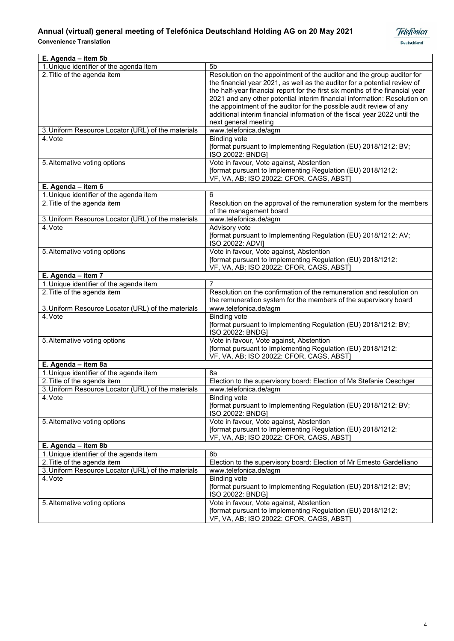

| E. Agenda - item 5b                                |                                                                                                                                                                                                                                                                                                                                                                                                                                                                                                |
|----------------------------------------------------|------------------------------------------------------------------------------------------------------------------------------------------------------------------------------------------------------------------------------------------------------------------------------------------------------------------------------------------------------------------------------------------------------------------------------------------------------------------------------------------------|
| 1. Unique identifier of the agenda item            | 5 <sub>b</sub>                                                                                                                                                                                                                                                                                                                                                                                                                                                                                 |
| 2. Title of the agenda item                        | Resolution on the appointment of the auditor and the group auditor for<br>the financial year 2021, as well as the auditor for a potential review of<br>the half-year financial report for the first six months of the financial year<br>2021 and any other potential interim financial information: Resolution on<br>the appointment of the auditor for the possible audit review of any<br>additional interim financial information of the fiscal year 2022 until the<br>next general meeting |
| 3. Uniform Resource Locator (URL) of the materials | www.telefonica.de/agm                                                                                                                                                                                                                                                                                                                                                                                                                                                                          |
| 4. Vote                                            | <b>Binding vote</b><br>[format pursuant to Implementing Regulation (EU) 2018/1212: BV;<br>ISO 20022: BNDG]                                                                                                                                                                                                                                                                                                                                                                                     |
| 5. Alternative voting options                      | Vote in favour, Vote against, Abstention<br>[format pursuant to Implementing Regulation (EU) 2018/1212:<br>VF, VA, AB; ISO 20022: CFOR, CAGS, ABST]                                                                                                                                                                                                                                                                                                                                            |
| E. Agenda - item 6                                 |                                                                                                                                                                                                                                                                                                                                                                                                                                                                                                |
| 1. Unique identifier of the agenda item            | 6                                                                                                                                                                                                                                                                                                                                                                                                                                                                                              |
| 2. Title of the agenda item                        | Resolution on the approval of the remuneration system for the members<br>of the management board                                                                                                                                                                                                                                                                                                                                                                                               |
| 3. Uniform Resource Locator (URL) of the materials | www.telefonica.de/agm                                                                                                                                                                                                                                                                                                                                                                                                                                                                          |
| 4. Vote                                            | Advisory vote<br>[format pursuant to Implementing Regulation (EU) 2018/1212: AV;<br>ISO 20022: ADVI]                                                                                                                                                                                                                                                                                                                                                                                           |
| 5. Alternative voting options                      | Vote in favour, Vote against, Abstention<br>[format pursuant to Implementing Regulation (EU) 2018/1212:<br>VF, VA, AB; ISO 20022: CFOR, CAGS, ABST                                                                                                                                                                                                                                                                                                                                             |
| E. Agenda - item 7                                 |                                                                                                                                                                                                                                                                                                                                                                                                                                                                                                |
| 1. Unique identifier of the agenda item            | 7                                                                                                                                                                                                                                                                                                                                                                                                                                                                                              |
| 2. Title of the agenda item                        | Resolution on the confirmation of the remuneration and resolution on<br>the remuneration system for the members of the supervisory board                                                                                                                                                                                                                                                                                                                                                       |
| 3. Uniform Resource Locator (URL) of the materials | www.telefonica.de/agm                                                                                                                                                                                                                                                                                                                                                                                                                                                                          |
| 4. Vote                                            | <b>Binding vote</b><br>[format pursuant to Implementing Regulation (EU) 2018/1212: BV;<br>ISO 20022: BNDG]                                                                                                                                                                                                                                                                                                                                                                                     |
| 5. Alternative voting options                      | Vote in favour, Vote against, Abstention<br>[format pursuant to Implementing Regulation (EU) 2018/1212:<br>VF, VA, AB; ISO 20022: CFOR, CAGS, ABST                                                                                                                                                                                                                                                                                                                                             |
| E. Agenda - item 8a                                |                                                                                                                                                                                                                                                                                                                                                                                                                                                                                                |
| 1. Unique identifier of the agenda item            | 8a                                                                                                                                                                                                                                                                                                                                                                                                                                                                                             |
| 2. Title of the agenda item                        | Election to the supervisory board: Election of Ms Stefanie Oeschger                                                                                                                                                                                                                                                                                                                                                                                                                            |
| 3. Uniform Resource Locator (URL) of the materials | www.telefonica.de/agm                                                                                                                                                                                                                                                                                                                                                                                                                                                                          |
| 4. Vote                                            | Binding vote<br>[format pursuant to Implementing Regulation (EU) 2018/1212: BV;<br>ISO 20022: BNDG]                                                                                                                                                                                                                                                                                                                                                                                            |
| 5. Alternative voting options                      | Vote in favour, Vote against, Abstention<br>[format pursuant to Implementing Regulation (EU) 2018/1212:<br>VF, VA, AB; ISO 20022: CFOR, CAGS, ABST                                                                                                                                                                                                                                                                                                                                             |
| E. Agenda - item 8b                                |                                                                                                                                                                                                                                                                                                                                                                                                                                                                                                |
| 1. Unique identifier of the agenda item            | 8b                                                                                                                                                                                                                                                                                                                                                                                                                                                                                             |
| 2. Title of the agenda item                        | Election to the supervisory board: Election of Mr Ernesto Gardelliano                                                                                                                                                                                                                                                                                                                                                                                                                          |
| 3. Uniform Resource Locator (URL) of the materials | www.telefonica.de/agm                                                                                                                                                                                                                                                                                                                                                                                                                                                                          |
| 4. Vote                                            | <b>Binding vote</b><br>[format pursuant to Implementing Regulation (EU) 2018/1212: BV;<br>ISO 20022: BNDG]                                                                                                                                                                                                                                                                                                                                                                                     |
| 5. Alternative voting options                      | Vote in favour, Vote against, Abstention<br>[format pursuant to Implementing Regulation (EU) 2018/1212:<br>VF, VA, AB; ISO 20022: CFOR, CAGS, ABST]                                                                                                                                                                                                                                                                                                                                            |